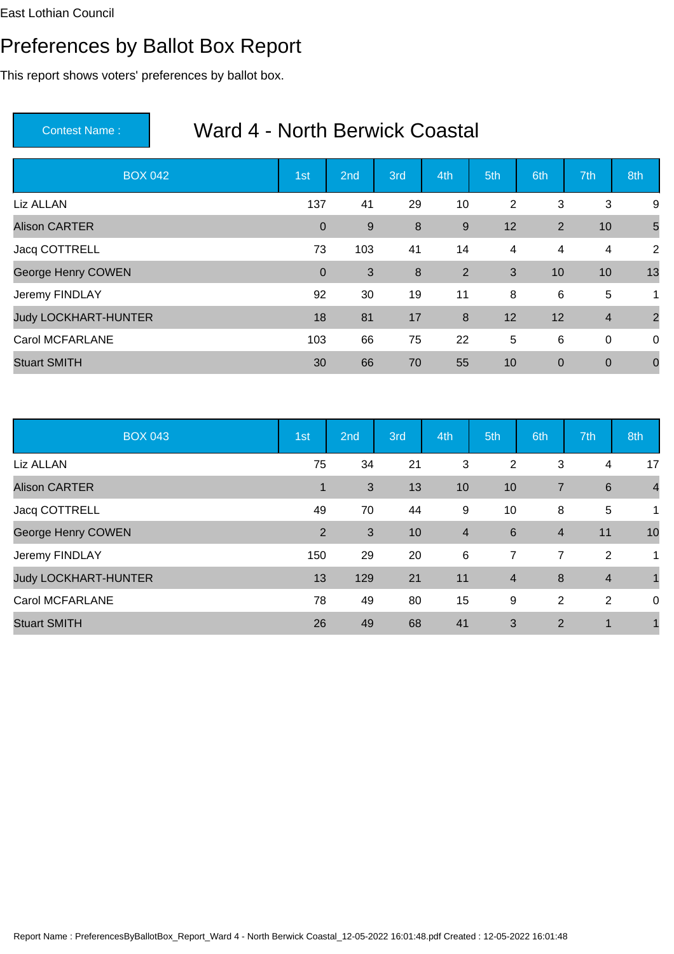## Preferences by Ballot Box Report

This report shows voters' preferences by ballot box.

| <b>BOX 042</b>              | 1st            | 2 <sub>nd</sub> | 3rd     | 4th              | 5th | 6th         | 7th                     | 8th            |
|-----------------------------|----------------|-----------------|---------|------------------|-----|-------------|-------------------------|----------------|
| Liz ALLAN                   | 137            | 41              | 29      | 10               | 2   | 3           | 3                       | 9              |
| <b>Alison CARTER</b>        | $\overline{0}$ | 9               | $\bf 8$ | 9                | 12  | 2           | 10                      | 5              |
| Jacq COTTRELL               | 73             | 103             | 41      | 14               | 4   | 4           | 4                       | 2              |
| George Henry COWEN          | $\overline{0}$ | 3               | $\bf 8$ | $\overline{2}$   | 3   | 10          | 10                      | 13             |
| Jeremy FINDLAY              | 92             | 30              | 19      | 11               | 8   | 6           | 5                       | 1              |
| <b>Judy LOCKHART-HUNTER</b> | 18             | 81              | 17      | $\boldsymbol{8}$ | 12  | 12          | $\overline{\mathbf{4}}$ | $\overline{2}$ |
| <b>Carol MCFARLANE</b>      | 103            | 66              | 75      | 22               | 5   | 6           | 0                       | $\overline{0}$ |
| <b>Stuart SMITH</b>         | 30             | 66              | 70      | 55               | 10  | $\mathbf 0$ | $\mathbf 0$             | $\overline{0}$ |

| <b>BOX 043</b>              | 1st | 2nd | 3rd | 4th                     | 5th            | 6th            | 7th            | 8th            |
|-----------------------------|-----|-----|-----|-------------------------|----------------|----------------|----------------|----------------|
| Liz ALLAN                   | 75  | 34  | 21  | 3                       | 2              | 3              | 4              | 17             |
| <b>Alison CARTER</b>        | 1   | 3   | 13  | 10                      | 10             | $\overline{7}$ | 6              | $\overline{4}$ |
| Jacq COTTRELL               | 49  | 70  | 44  | 9                       | 10             | 8              | 5              | 1              |
| George Henry COWEN          | 2   | 3   | 10  | $\overline{\mathbf{4}}$ | 6              | $\overline{4}$ | 11             | 10             |
| Jeremy FINDLAY              | 150 | 29  | 20  | 6                       | $\overline{7}$ | 7              | 2              | 1              |
| <b>Judy LOCKHART-HUNTER</b> | 13  | 129 | 21  | 11                      | $\overline{4}$ | 8              | $\overline{4}$ |                |
| <b>Carol MCFARLANE</b>      | 78  | 49  | 80  | 15                      | 9              | 2              | 2              | 0              |
| <b>Stuart SMITH</b>         | 26  | 49  | 68  | 41                      | 3              | $\overline{2}$ | 1              |                |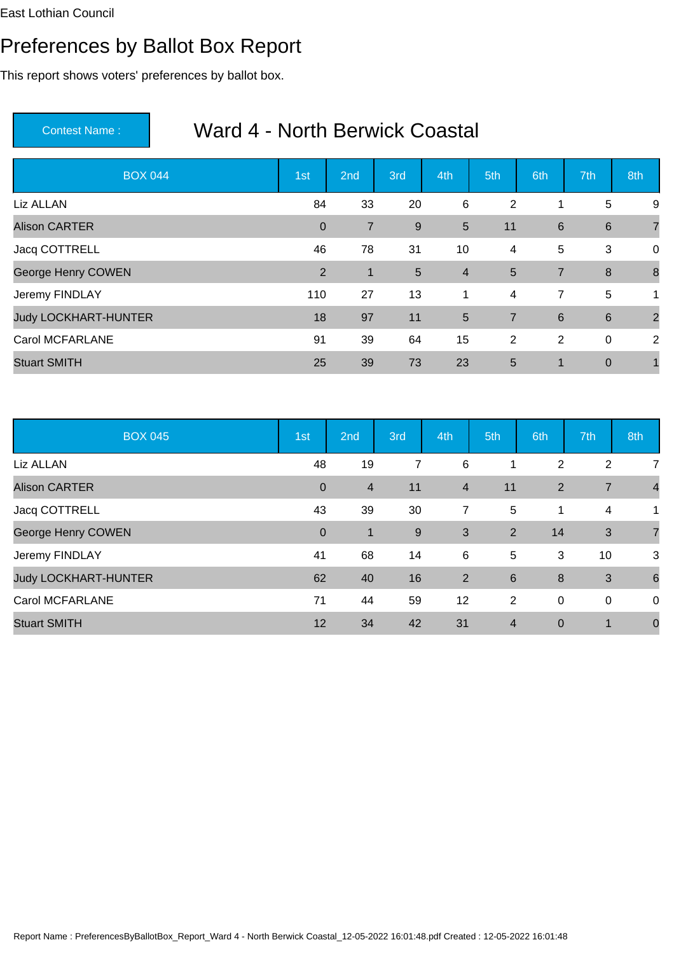## Preferences by Ballot Box Report

This report shows voters' preferences by ballot box.

| <b>BOX 044</b>              | 1st          | 2 <sub>nd</sub> | 3rd            | 4th            | 5th            | 6th             | 7th             | 8th            |
|-----------------------------|--------------|-----------------|----------------|----------------|----------------|-----------------|-----------------|----------------|
| Liz ALLAN                   | 84           | 33              | 20             | $\,6\,$        | 2              | 1               | 5               | 9              |
| <b>Alison CARTER</b>        | $\mathbf{0}$ | $\overline{7}$  | 9              | 5              | 11             | $6\phantom{1}6$ | $\,6\,$         | $\overline{7}$ |
| Jacq COTTRELL               | 46           | 78              | 31             | 10             | 4              | 5               | 3               | $\overline{0}$ |
| George Henry COWEN          | 2            | $\mathbf{1}$    | $5\phantom{.}$ | $\overline{4}$ | 5              | $\overline{7}$  | 8               | 8              |
| Jeremy FINDLAY              | 110          | 27              | 13             | 1              | $\overline{4}$ | $\overline{7}$  | 5               | 1              |
| <b>Judy LOCKHART-HUNTER</b> | 18           | 97              | 11             | 5              | $\overline{7}$ | $6\phantom{1}6$ | $6\phantom{1}6$ | $\overline{2}$ |
| <b>Carol MCFARLANE</b>      | 91           | 39              | 64             | 15             | $\overline{2}$ | 2               | 0               | 2              |
| <b>Stuart SMITH</b>         | 25           | 39              | 73             | 23             | 5              | 1               | $\mathbf 0$     |                |

| <b>BOX 045</b>              | 1st            | 2nd            | 3rd            | 4th                     | 5th            | 6th         | 7th            | 8th             |
|-----------------------------|----------------|----------------|----------------|-------------------------|----------------|-------------|----------------|-----------------|
| Liz ALLAN                   | 48             | 19             | $\overline{7}$ | 6                       |                | 2           | $\overline{2}$ | 7               |
| <b>Alison CARTER</b>        | $\overline{0}$ | $\overline{4}$ | 11             | $\overline{\mathbf{4}}$ | 11             | 2           | $\overline{7}$ | $\overline{4}$  |
| Jacq COTTRELL               | 43             | 39             | 30             | 7                       | 5              | 1           | 4              | 1               |
| George Henry COWEN          | $\overline{0}$ | $\mathbf 1$    | 9              | 3                       | 2              | 14          | 3              | $\overline{7}$  |
| Jeremy FINDLAY              | 41             | 68             | 14             | 6                       | 5              | 3           | 10             | 3               |
| <b>Judy LOCKHART-HUNTER</b> | 62             | 40             | 16             | $\overline{2}$          | 6              | 8           | 3              | $6\phantom{1}6$ |
| <b>Carol MCFARLANE</b>      | 71             | 44             | 59             | 12                      | 2              | $\mathbf 0$ | 0              | 0               |
| <b>Stuart SMITH</b>         | 12             | 34             | 42             | 31                      | $\overline{4}$ | $\mathbf 0$ | 1              | $\mathbf 0$     |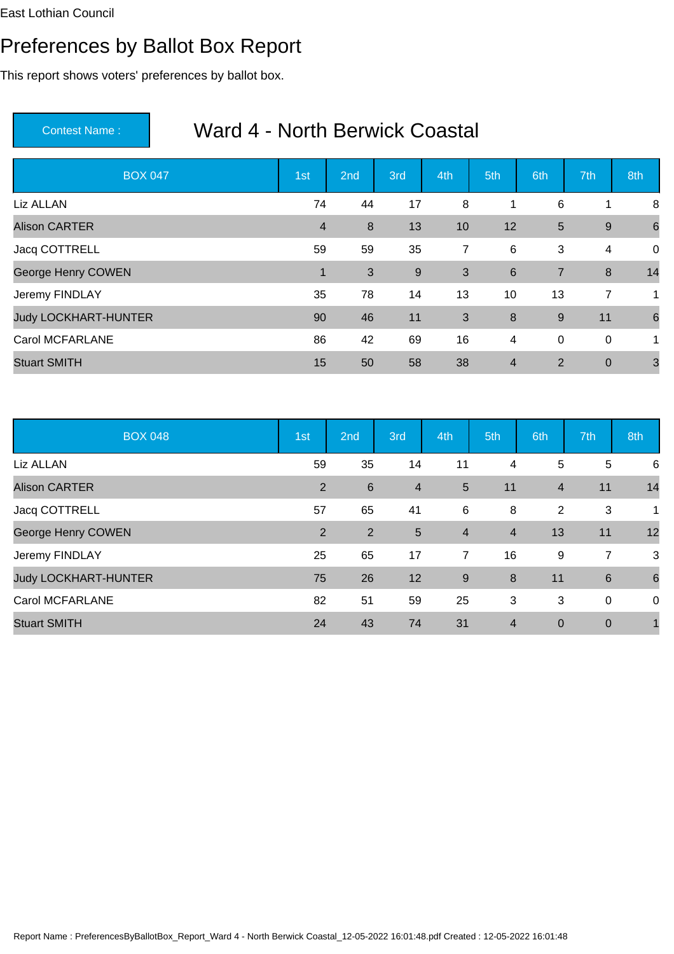## Preferences by Ballot Box Report

This report shows voters' preferences by ballot box.

| <b>BOX 047</b>              | 1st            | 2 <sub>nd</sub> | 3rd | 4th | 5th             | 6th            | 7th              | 8th             |
|-----------------------------|----------------|-----------------|-----|-----|-----------------|----------------|------------------|-----------------|
| Liz ALLAN                   | 74             | 44              | 17  | 8   | 1               | $\,6\,$        | 1                | 8               |
| <b>Alison CARTER</b>        | $\overline{4}$ | 8               | 13  | 10  | 12              | 5              | $\boldsymbol{9}$ | $6\phantom{1}6$ |
| Jacq COTTRELL               | 59             | 59              | 35  | 7   | 6               | 3              | 4                | $\overline{0}$  |
| George Henry COWEN          | 1              | 3               | 9   | 3   | $6\phantom{1}6$ | $\overline{7}$ | 8                | 14              |
| Jeremy FINDLAY              | 35             | 78              | 14  | 13  | 10              | 13             | $\overline{7}$   | 1               |
| <b>Judy LOCKHART-HUNTER</b> | 90             | 46              | 11  | 3   | 8               | 9              | 11               | 6               |
| <b>Carol MCFARLANE</b>      | 86             | 42              | 69  | 16  | 4               | 0              | $\mathbf 0$      | 1               |
| <b>Stuart SMITH</b>         | 15             | 50              | 58  | 38  | $\overline{4}$  | $\overline{2}$ | $\mathbf 0$      | 3               |

| <b>BOX 048</b>              | 1st            | 2nd            | 3rd             | 4th            | 5th            | 6th            | 7th             | 8th         |
|-----------------------------|----------------|----------------|-----------------|----------------|----------------|----------------|-----------------|-------------|
| Liz ALLAN                   | 59             | 35             | 14              | 11             | $\overline{4}$ | 5              | 5               | 6           |
| <b>Alison CARTER</b>        | 2              | $\,6$          | $\overline{4}$  | 5              | 11             | $\overline{4}$ | 11              | 14          |
| Jacq COTTRELL               | 57             | 65             | 41              | 6              | 8              | $\overline{2}$ | 3               | 1           |
| George Henry COWEN          | $\overline{2}$ | $\overline{2}$ | $5\phantom{.0}$ | $\overline{4}$ | $\overline{4}$ | 13             | 11              | 12          |
| Jeremy FINDLAY              | 25             | 65             | 17              | $\overline{7}$ | 16             | 9              | 7               | 3           |
| <b>Judy LOCKHART-HUNTER</b> | 75             | 26             | 12              | 9              | 8              | 11             | $6\phantom{1}6$ | 6           |
| <b>Carol MCFARLANE</b>      | 82             | 51             | 59              | 25             | 3              | 3              | 0               | $\mathbf 0$ |
| <b>Stuart SMITH</b>         | 24             | 43             | 74              | 31             | $\overline{4}$ | $\mathbf 0$    | $\overline{0}$  |             |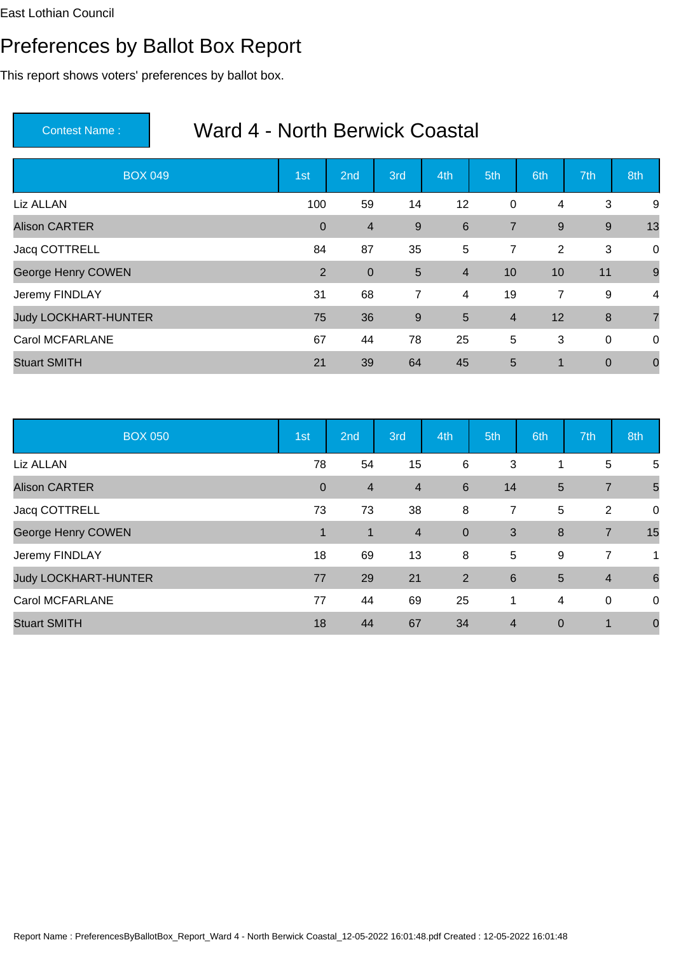## Preferences by Ballot Box Report

This report shows voters' preferences by ballot box.

| <b>BOX 049</b>              | 1st          | 2 <sub>nd</sub> | 3rd            | 4th            | 5th            | 6th | 7th              | 8th            |
|-----------------------------|--------------|-----------------|----------------|----------------|----------------|-----|------------------|----------------|
| Liz ALLAN                   | 100          | 59              | 14             | 12             | 0              | 4   | 3                | 9              |
| <b>Alison CARTER</b>        | $\mathbf{0}$ | $\overline{4}$  | 9              | 6              | $\overline{7}$ | 9   | 9                | 13             |
| Jacq COTTRELL               | 84           | 87              | 35             | 5              | 7              | 2   | 3                | $\overline{0}$ |
| George Henry COWEN          | 2            | $\mathbf 0$     | $5\phantom{1}$ | $\overline{4}$ | 10             | 10  | 11               | 9              |
| Jeremy FINDLAY              | 31           | 68              | $\overline{7}$ | 4              | 19             | 7   | 9                | $\overline{4}$ |
| <b>Judy LOCKHART-HUNTER</b> | 75           | 36              | $9\,$          | 5              | $\overline{4}$ | 12  | 8                | $\overline{7}$ |
| <b>Carol MCFARLANE</b>      | 67           | 44              | 78             | 25             | 5              | 3   | $\mathbf 0$      | $\mathbf 0$    |
| <b>Stuart SMITH</b>         | 21           | 39              | 64             | 45             | 5              | 1   | $\boldsymbol{0}$ | $\mathbf 0$    |

| <b>BOX 050</b>              | 1st         | 2nd            | 3rd            | 4th         | 5th             | 6th            | 7th            | 8th            |
|-----------------------------|-------------|----------------|----------------|-------------|-----------------|----------------|----------------|----------------|
| Liz ALLAN                   | 78          | 54             | 15             | 6           | 3               |                | $\overline{5}$ | 5              |
| <b>Alison CARTER</b>        | $\mathbf 0$ | $\overline{4}$ | $\overline{4}$ | 6           | 14              | 5              | $\overline{7}$ | 5              |
| Jacq COTTRELL               | 73          | 73             | 38             | 8           | $\overline{7}$  | 5              | 2              | $\overline{0}$ |
| George Henry COWEN          | 1           | 1              | $\overline{4}$ | $\mathbf 0$ | 3               | 8              | $\overline{7}$ | 15             |
| Jeremy FINDLAY              | 18          | 69             | 13             | 8           | 5               | 9              | 7              | 1              |
| <b>Judy LOCKHART-HUNTER</b> | 77          | 29             | 21             | 2           | $6\phantom{1}6$ | 5              | $\overline{4}$ | 6              |
| <b>Carol MCFARLANE</b>      | 77          | 44             | 69             | 25          | 1               | $\overline{4}$ | 0              | $\overline{0}$ |
| <b>Stuart SMITH</b>         | 18          | 44             | 67             | 34          | $\overline{4}$  | $\overline{0}$ | $\mathbf 1$    | $\mathbf 0$    |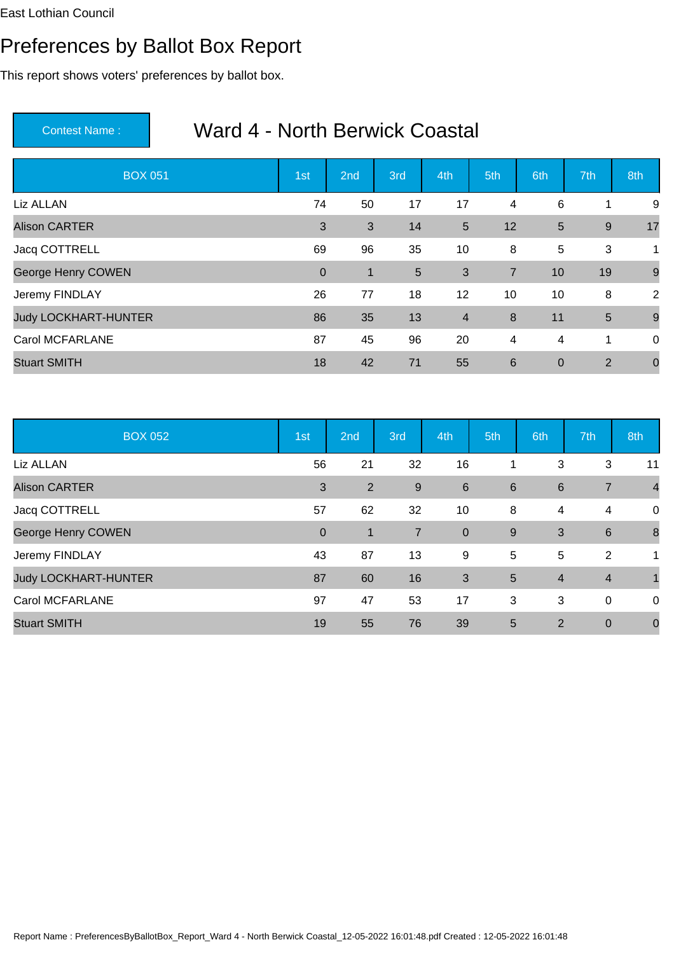## Preferences by Ballot Box Report

This report shows voters' preferences by ballot box.

| <b>BOX 051</b>              | 1st          | 2 <sub>nd</sub> | 3rd             | 4th            | 5th            | 6th         | 7th            | 8th            |
|-----------------------------|--------------|-----------------|-----------------|----------------|----------------|-------------|----------------|----------------|
| Liz ALLAN                   | 74           | 50              | 17              | 17             | 4              | 6           | 1              | 9              |
| <b>Alison CARTER</b>        | 3            | 3               | 14              | 5              | 12             | 5           | $9\,$          | 17             |
| Jacq COTTRELL               | 69           | 96              | 35              | 10             | 8              | 5           | 3              | 1              |
| George Henry COWEN          | $\mathbf{0}$ | $\mathbf{1}$    | $5\phantom{.0}$ | 3              | $\overline{7}$ | 10          | 19             | 9              |
| Jeremy FINDLAY              | 26           | 77              | 18              | 12             | 10             | 10          | 8              | 2              |
| <b>Judy LOCKHART-HUNTER</b> | 86           | 35              | 13              | $\overline{4}$ | 8              | 11          | $\overline{5}$ | 9              |
| <b>Carol MCFARLANE</b>      | 87           | 45              | 96              | 20             | 4              | 4           | 1              | $\mathbf 0$    |
| <b>Stuart SMITH</b>         | 18           | 42              | 71              | 55             | 6              | $\mathbf 0$ | $\overline{2}$ | $\overline{0}$ |

| <b>BOX 052</b>              | 1st         | 2nd            | 3rd            | 4th             | 5th             | 6th            | 7th             | 8th            |
|-----------------------------|-------------|----------------|----------------|-----------------|-----------------|----------------|-----------------|----------------|
| Liz ALLAN                   | 56          | 21             | 32             | 16              |                 | 3              | 3               | 11             |
| <b>Alison CARTER</b>        | 3           | $\overline{2}$ | 9              | $6\phantom{1}6$ | $6\phantom{1}6$ | $\,6$          | $\overline{7}$  | $\overline{4}$ |
| Jacq COTTRELL               | 57          | 62             | 32             | 10              | 8               | 4              | 4               | $\mathbf 0$    |
| George Henry COWEN          | $\mathbf 0$ | $\mathbf 1$    | $\overline{7}$ | $\mathbf 0$     | 9               | 3              | $6\phantom{1}6$ | 8              |
| Jeremy FINDLAY              | 43          | 87             | 13             | 9               | 5               | 5              | 2               | 1              |
| <b>Judy LOCKHART-HUNTER</b> | 87          | 60             | 16             | 3               | 5               | $\overline{4}$ | $\overline{4}$  |                |
| <b>Carol MCFARLANE</b>      | 97          | 47             | 53             | 17              | 3               | 3              | 0               | $\mathbf 0$    |
| <b>Stuart SMITH</b>         | 19          | 55             | 76             | 39              | 5               | 2              | $\mathbf 0$     | $\mathbf 0$    |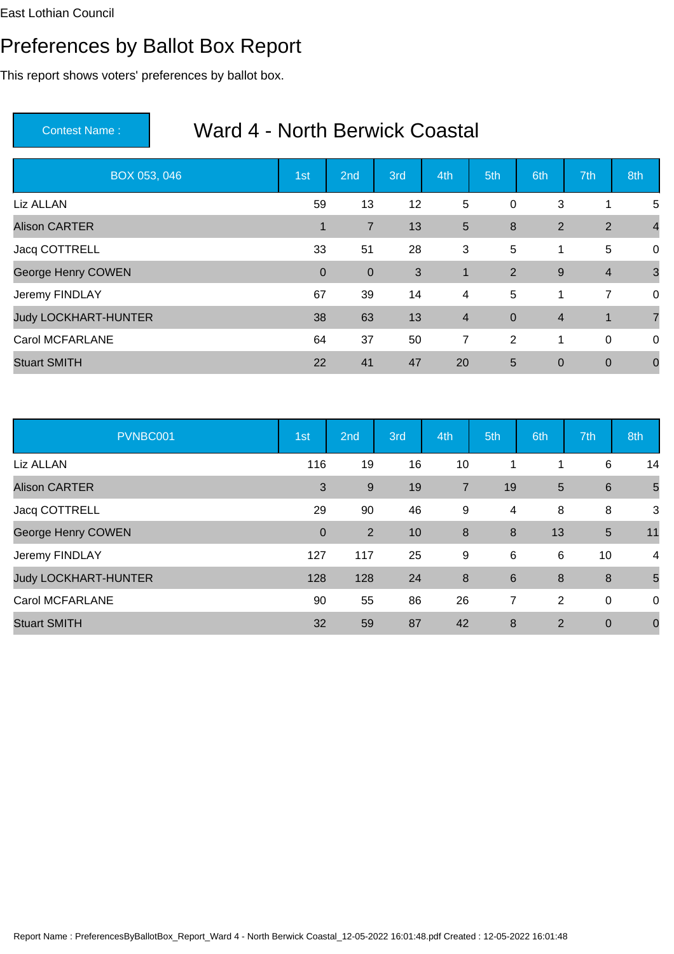### Preferences by Ballot Box Report

This report shows voters' preferences by ballot box.

| BOX 053, 046                | 1st         | 2nd            | 3rd | 4th                     | 5th            | 6th            | 7th            | 8th            |
|-----------------------------|-------------|----------------|-----|-------------------------|----------------|----------------|----------------|----------------|
| Liz ALLAN                   | 59          | 13             | 12  | 5                       | $\pmb{0}$      | 3              | 1              | 5              |
| <b>Alison CARTER</b>        | $\mathbf 1$ | $\overline{7}$ | 13  | 5                       | 8              | $\overline{2}$ | $\overline{2}$ | $\overline{4}$ |
| Jacq COTTRELL               | 33          | 51             | 28  | 3                       | 5              | 1              | 5              | $\mathbf 0$    |
| George Henry COWEN          | $\mathbf 0$ | $\overline{0}$ | 3   | $\mathbf{1}$            | 2              | 9              | $\overline{4}$ | $\mathbf{3}$   |
| Jeremy FINDLAY              | 67          | 39             | 14  | 4                       | 5              | 1              | $\overline{7}$ | $\mathbf 0$    |
| <b>Judy LOCKHART-HUNTER</b> | 38          | 63             | 13  | $\overline{\mathbf{4}}$ | $\overline{0}$ | $\overline{4}$ | 1              | $\overline{7}$ |
| <b>Carol MCFARLANE</b>      | 64          | 37             | 50  | $\overline{7}$          | 2              | 1              | $\mathbf 0$    | $\mathbf 0$    |
| <b>Stuart SMITH</b>         | 22          | 41             | 47  | 20                      | 5              | $\mathbf 0$    | $\mathbf 0$    | $\mathbf 0$    |

| PVNBC001                    | 1st         | 2nd            | 3rd | 4th              | 5th             | 6th | 7th             | 8th            |
|-----------------------------|-------------|----------------|-----|------------------|-----------------|-----|-----------------|----------------|
| Liz ALLAN                   | 116         | 19             | 16  | 10               |                 |     | 6               | 14             |
| <b>Alison CARTER</b>        | 3           | $9\,$          | 19  | $\overline{7}$   | 19              | 5   | $6\phantom{1}6$ | 5              |
| Jacq COTTRELL               | 29          | 90             | 46  | 9                | 4               | 8   | 8               | 3              |
| George Henry COWEN          | $\mathbf 0$ | $\overline{2}$ | 10  | 8                | 8               | 13  | $\sqrt{5}$      | 11             |
| Jeremy FINDLAY              | 127         | 117            | 25  | 9                | 6               | 6   | 10              | $\overline{4}$ |
| <b>Judy LOCKHART-HUNTER</b> | 128         | 128            | 24  | $\boldsymbol{8}$ | $6\phantom{1}6$ | 8   | 8               | 5              |
| <b>Carol MCFARLANE</b>      | 90          | 55             | 86  | 26               | 7               | 2   | 0               | $\mathbf 0$    |
| <b>Stuart SMITH</b>         | 32          | 59             | 87  | 42               | 8               | 2   | $\mathbf 0$     | $\mathbf 0$    |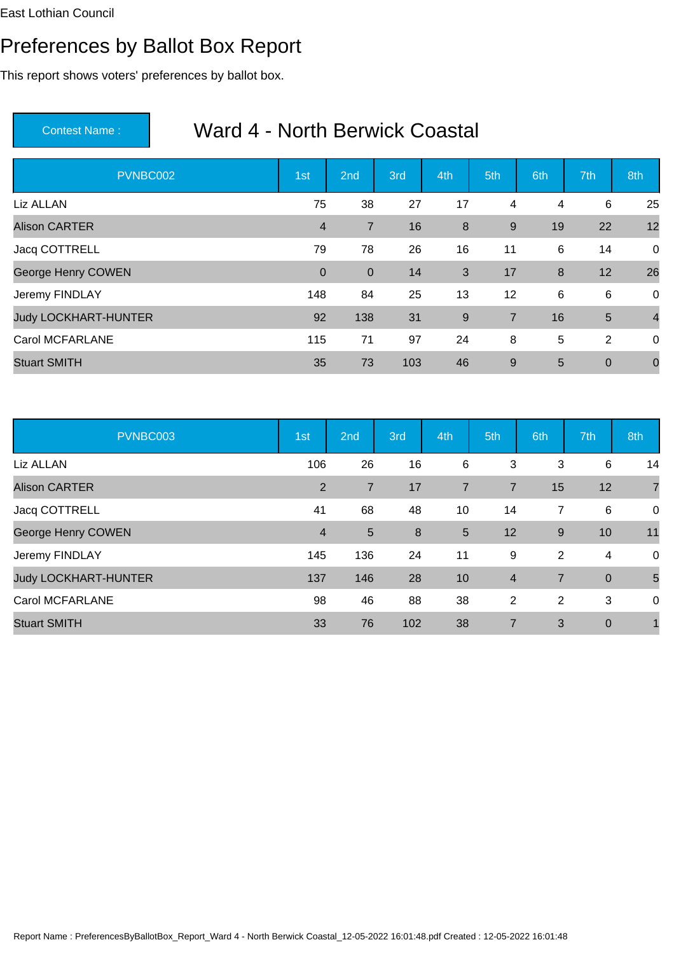## Preferences by Ballot Box Report

This report shows voters' preferences by ballot box.

| PVNBC002                    | 1st            | 2nd            | 3rd | 4th   | 5th            | 6th | 7th            | 8th            |
|-----------------------------|----------------|----------------|-----|-------|----------------|-----|----------------|----------------|
| Liz ALLAN                   | 75             | 38             | 27  | 17    | 4              | 4   | 6              | 25             |
| <b>Alison CARTER</b>        | $\overline{4}$ | $\overline{7}$ | 16  | 8     | $9\,$          | 19  | 22             | 12             |
| Jacq COTTRELL               | 79             | 78             | 26  | 16    | 11             | 6   | 14             | 0              |
| George Henry COWEN          | $\mathbf 0$    | $\overline{0}$ | 14  | 3     | 17             | 8   | 12             | 26             |
| Jeremy FINDLAY              | 148            | 84             | 25  | 13    | 12             | 6   | 6              | 0              |
| <b>Judy LOCKHART-HUNTER</b> | 92             | 138            | 31  | $9\,$ | $\overline{7}$ | 16  | $5\phantom{1}$ | $\overline{4}$ |
| <b>Carol MCFARLANE</b>      | 115            | 71             | 97  | 24    | 8              | 5   | 2              | 0              |
| <b>Stuart SMITH</b>         | 35             | 73             | 103 | 46    | 9              | 5   | $\mathbf 0$    | $\mathbf 0$    |

| PVNBC003                    | 1st            | 2nd            | 3rd | 4th             | 5th            | 6th            | 7th            | 8th            |
|-----------------------------|----------------|----------------|-----|-----------------|----------------|----------------|----------------|----------------|
| Liz ALLAN                   | 106            | 26             | 16  | 6               | 3              | 3              | 6              | 14             |
| <b>Alison CARTER</b>        | 2              | $\overline{7}$ | 17  | $\overline{7}$  | $\overline{7}$ | 15             | 12             | $\overline{7}$ |
| Jacq COTTRELL               | 41             | 68             | 48  | 10              | 14             | 7              | 6              | 0              |
| George Henry COWEN          | $\overline{4}$ | 5              | 8   | $5\phantom{.0}$ | 12             | 9              | 10             | 11             |
| Jeremy FINDLAY              | 145            | 136            | 24  | 11              | 9              | $\overline{2}$ | 4              | 0              |
| <b>Judy LOCKHART-HUNTER</b> | 137            | 146            | 28  | 10              | $\overline{4}$ | $\overline{7}$ | $\overline{0}$ | 5              |
| <b>Carol MCFARLANE</b>      | 98             | 46             | 88  | 38              | 2              | 2              | 3              | 0              |
| <b>Stuart SMITH</b>         | 33             | 76             | 102 | 38              | $\overline{7}$ | 3              | $\mathbf 0$    | 1              |